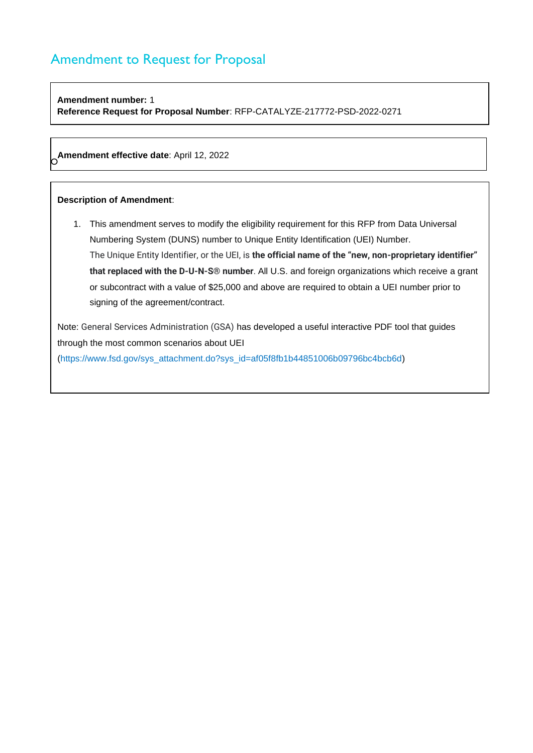## **Amendment number:** 1 **Reference Request for Proposal Number**: RFP-CATALYZE-217772-PSD-2022-0271

O **Amendment effective date**: April 12, 2022

### **Description of Amendment**:

1. This amendment serves to modify the eligibility requirement for this RFP from Data Universal Numbering System (DUNS) number to Unique Entity Identification (UEI) Number. The Unique Entity Identifier, or the UEI, is **the official name of the "new, non-proprietary identifier" that replaced with the D-U-N-S® number**. All U.S. and foreign organizations which receive a grant or subcontract with a value of \$25,000 and above are required to obtain a UEI number prior to signing of the agreement/contract.

Note: General Services Administration (GSA) has developed a useful interactive PDF tool that guides through the most common scenarios about UEI (https://www.fsd.gov/sys\_attachment.do?sys\_id=af05f8fb1b44851006b09796bc4bcb6d)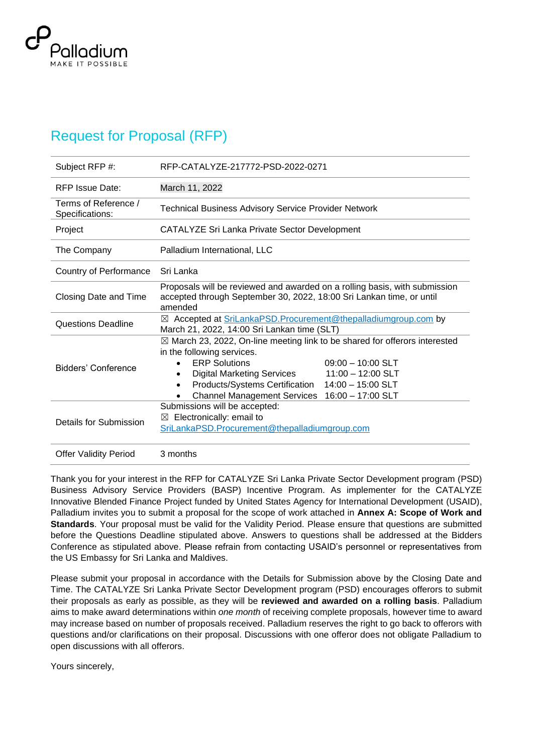

# Request for Proposal (RFP)

| Subject RFP #:                          | RFP-CATALYZE-217772-PSD-2022-0271                                                                                                                                                                                                                                                                                                             |  |  |  |  |
|-----------------------------------------|-----------------------------------------------------------------------------------------------------------------------------------------------------------------------------------------------------------------------------------------------------------------------------------------------------------------------------------------------|--|--|--|--|
| <b>RFP Issue Date:</b>                  | March 11, 2022                                                                                                                                                                                                                                                                                                                                |  |  |  |  |
| Terms of Reference /<br>Specifications: | <b>Technical Business Advisory Service Provider Network</b>                                                                                                                                                                                                                                                                                   |  |  |  |  |
| Project                                 | CATALYZE Sri Lanka Private Sector Development                                                                                                                                                                                                                                                                                                 |  |  |  |  |
| The Company                             | Palladium International, LLC                                                                                                                                                                                                                                                                                                                  |  |  |  |  |
| Country of Performance                  | Sri Lanka                                                                                                                                                                                                                                                                                                                                     |  |  |  |  |
| Closing Date and Time                   | Proposals will be reviewed and awarded on a rolling basis, with submission<br>accepted through September 30, 2022, 18:00 Sri Lankan time, or until<br>amended                                                                                                                                                                                 |  |  |  |  |
| <b>Questions Deadline</b>               | ⊠ Accepted at SriLankaPSD.Procurement@thepalladiumgroup.com by<br>March 21, 2022, 14:00 Sri Lankan time (SLT)                                                                                                                                                                                                                                 |  |  |  |  |
| Bidders' Conference                     | $\boxtimes$ March 23, 2022, On-line meeting link to be shared for offerors interested<br>in the following services.<br><b>ERP Solutions</b><br>$09:00 - 10:00$ SLT<br><b>Digital Marketing Services</b><br>$11:00 - 12:00$ SLT<br>Products/Systems Certification 14:00 - 15:00 SLT<br><b>Channel Management Services</b><br>16:00 - 17:00 SLT |  |  |  |  |
| Details for Submission                  | Submissions will be accepted:<br>Electronically: email to<br>⊠<br>SriLankaPSD.Procurement@thepalladiumgroup.com                                                                                                                                                                                                                               |  |  |  |  |
| <b>Offer Validity Period</b>            | 3 months                                                                                                                                                                                                                                                                                                                                      |  |  |  |  |

Thank you for your interest in the RFP for CATALYZE Sri Lanka Private Sector Development program (PSD) Business Advisory Service Providers (BASP) Incentive Program. As implementer for the CATALYZE Innovative Blended Finance Project funded by United States Agency for International Development (USAID), Palladium invites you to submit a proposal for the scope of work attached in **Annex A: Scope of Work and Standards**. Your proposal must be valid for the Validity Period. Please ensure that questions are submitted before the Questions Deadline stipulated above. Answers to questions shall be addressed at the Bidders Conference as stipulated above. Please refrain from contacting USAID's personnel or representatives from the US Embassy for Sri Lanka and Maldives.

Please submit your proposal in accordance with the Details for Submission above by the Closing Date and Time. The CATALYZE Sri Lanka Private Sector Development program (PSD) encourages offerors to submit their proposals as early as possible, as they will be **reviewed and awarded on a rolling basis**. Palladium aims to make award determinations within *one month* of receiving complete proposals, however time to award may increase based on number of proposals received. Palladium reserves the right to go back to offerors with questions and/or clarifications on their proposal. Discussions with one offeror does not obligate Palladium to open discussions with all offerors.

Yours sincerely,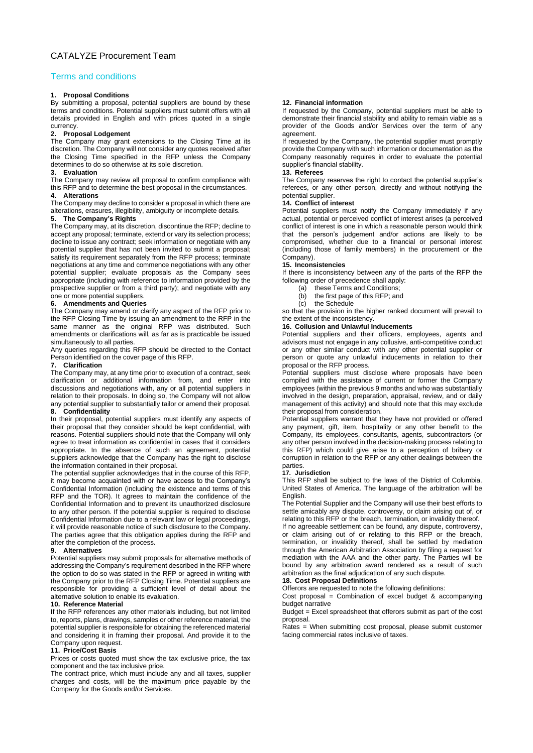### Terms and conditions

### **1. Proposal Conditions**

By submitting a proposal, potential suppliers are bound by these terms and conditions. Potential suppliers must submit offers with all details provided in English and with prices quoted in a single currency.

### **2. Proposal Lodgement**

The Company may grant extensions to the Closing Time at its discretion. The Company will not consider any quotes received after the Closing Time specified in the RFP unless the Company determines to do so otherwise at its sole discretion.

### **3. Evaluation**

The Company may review all proposal to confirm compliance with this RFP and to determine the best proposal in the circumstances.

### **4. Alterations**

The Company may decline to consider a proposal in which there are alterations, erasures, illegibility, ambiguity or incomplete details.

### **5. The Company's Rights**

The Company may, at its discretion, discontinue the RFP; decline to accept any proposal; terminate, extend or vary its selection process; decline to issue any contract; seek information or negotiate with any potential supplier that has not been invited to submit a proposal; satisfy its requirement separately from the RFP process; terminate negotiations at any time and commence negotiations with any other potential supplier; evaluate proposals as the Company sees appropriate (including with reference to information provided by the prospective supplier or from a third party); and negotiate with any one or more potential suppliers.

### **6. Amendments and Queries**

The Company may amend or clarify any aspect of the RFP prior to the RFP Closing Time by issuing an amendment to the RFP in the same manner as the original RFP was distributed. Such amendments or clarifications will, as far as is practicable be issued simultaneously to all parties.

Any queries regarding this RFP should be directed to the Contact Person identified on the cover page of this RFP.

### **7. Clarification**

The Company may, at any time prior to execution of a contract, seek clarification or additional information from, and enter into discussions and negotiations with, any or all potential suppliers in relation to their proposals. In doing so, the Company will not allow any potential supplier to substantially tailor or amend their proposal.

#### **8. Confidentiality**

In their proposal, potential suppliers must identify any aspects of their proposal that they consider should be kept confidential, with reasons. Potential suppliers should note that the Company will only agree to treat information as confidential in cases that it considers appropriate. In the absence of such an agreement, potential suppliers acknowledge that the Company has the right to disclose the information contained in their proposal.

The potential supplier acknowledges that in the course of this RFP, it may become acquainted with or have access to the Company's Confidential Information (including the existence and terms of this RFP and the TOR). It agrees to maintain the confidence of the Confidential Information and to prevent its unauthorized disclosure to any other person. If the potential supplier is required to disclose Confidential Information due to a relevant law or legal proceedings, it will provide reasonable notice of such disclosure to the Company. The parties agree that this obligation applies during the RFP and after the completion of the process.

#### **9. Alternatives**

Potential suppliers may submit proposals for alternative methods of addressing the Company's requirement described in the RFP where the option to do so was stated in the RFP or agreed in writing with the Company prior to the RFP Closing Time. Potential suppliers are responsible for providing a sufficient level of detail about the alternative solution to enable its evaluation.

### **10. Reference Material**

If the RFP references any other materials including, but not limited to, reports, plans, drawings, samples or other reference material, the potential supplier is responsible for obtaining the referenced material and considering it in framing their proposal. And provide it to the Company upon request.

### **11. Price/Cost Basis**

Prices or costs quoted must show the tax exclusive price, the tax component and the tax inclusive price.

The contract price, which must include any and all taxes, supplier charges and costs, will be the maximum price payable by the Company for the Goods and/or Services.

#### **12. Financial information**

If requested by the Company, potential suppliers must be able to demonstrate their financial stability and ability to remain viable as a provider of the Goods and/or Services over the term of any agreement.

If requested by the Company, the potential supplier must promptly provide the Company with such information or documentation as the Company reasonably requires in order to evaluate the potential supplier's financial stability

#### **13. Referees**

The Company reserves the right to contact the potential supplier's referees, or any other person, directly and without notifying the potential supplier.

#### **14. Conflict of interest**

Potential suppliers must notify the Company immediately if any actual, potential or perceived conflict of interest arises (a perceived conflict of interest is one in which a reasonable person would think that the person's judgement and/or actions are likely to be compromised, whether due to a financial or personal interest (including those of family members) in the procurement or the Company).

#### **15. Inconsistencies**

If there is inconsistency between any of the parts of the RFP the following order of precedence shall apply:

- (a) these Terms and Conditions;
- (b) the first page of this RFP; and
- (c) the Schedule

so that the provision in the higher ranked document will prevail to the extent of the inconsistency.

### **16. Collusion and Unlawful Inducements**

Potential suppliers and their officers, employees, agents and advisors must not engage in any collusive, anti-competitive conduct or any other similar conduct with any other potential supplier or person or quote any unlawful inducements in relation to their proposal or the RFP process.

Potential suppliers must disclose where proposals have been compiled with the assistance of current or former the Company employees (within the previous 9 months and who was substantially involved in the design, preparation, appraisal, review, and or daily management of this activity) and should note that this may exclude their proposal from consideration.

Potential suppliers warrant that they have not provided or offered any payment, gift, item, hospitality or any other benefit to the Company, its employees, consultants, agents, subcontractors (or any other person involved in the decision-making process relating to this RFP) which could give arise to a perception of bribery or corruption in relation to the RFP or any other dealings between the parties.

#### **17. Jurisdiction**

This RFP shall be subject to the laws of the District of Columbia, United States of America. The language of the arbitration will be English.

The Potential Supplier and the Company will use their best efforts to settle amicably any dispute, controversy, or claim arising out of, or relating to this RFP or the breach, termination, or invalidity thereof. If no agreeable settlement can be found, any dispute, controversy,

or claim arising out of or relating to this RFP or the breach, termination, or invalidity thereof, shall be settled by mediation through the American Arbitration Association by filing a request for mediation with the AAA and the other party. The Parties will be bound by any arbitration award rendered as a result of such arbitration as the final adjudication of any such dispute.

### **18. Cost Proposal Definitions**

Offerors are requested to note the following definitions:

Cost proposal = Combination of excel budget  $&$  accompanying budget narrative

Budget = Excel spreadsheet that offerors submit as part of the cost proposal.

Rates = When submitting cost proposal, please submit customer facing commercial rates inclusive of taxes.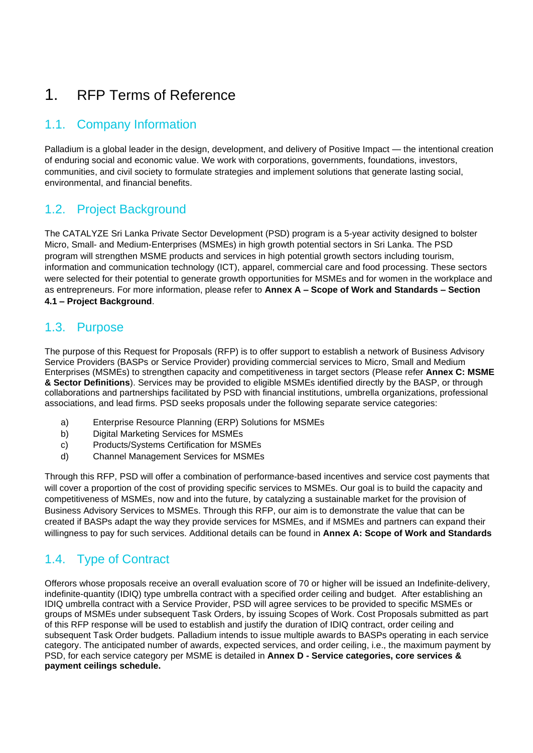# 1. RFP Terms of Reference

# 1.1. Company Information

Palladium is a global leader in the design, development, and delivery of Positive Impact — the intentional creation of enduring social and economic value. We work with corporations, governments, foundations, investors, communities, and civil society to formulate strategies and implement solutions that generate lasting social, environmental, and financial benefits.

## 1.2. Project Background

The CATALYZE Sri Lanka Private Sector Development (PSD) program is a 5-year activity designed to bolster Micro, Small- and Medium-Enterprises (MSMEs) in high growth potential sectors in Sri Lanka. The PSD program will strengthen MSME products and services in high potential growth sectors including tourism, information and communication technology (ICT), apparel, commercial care and food processing. These sectors were selected for their potential to generate growth opportunities for MSMEs and for women in the workplace and as entrepreneurs. For more information, please refer to **Annex A – Scope of Work and Standards – Section 4.1 – Project Background**.

# 1.3. Purpose

The purpose of this Request for Proposals (RFP) is to offer support to establish a network of Business Advisory Service Providers (BASPs or Service Provider) providing commercial services to Micro, Small and Medium Enterprises (MSMEs) to strengthen capacity and competitiveness in target sectors (Please refer **Annex C: MSME & Sector Definitions**). Services may be provided to eligible MSMEs identified directly by the BASP, or through collaborations and partnerships facilitated by PSD with financial institutions, umbrella organizations, professional associations, and lead firms. PSD seeks proposals under the following separate service categories:

- a) Enterprise Resource Planning (ERP) Solutions for MSMEs
- b) Digital Marketing Services for MSMEs
- c) Products/Systems Certification for MSMEs
- d) Channel Management Services for MSMEs

Through this RFP, PSD will offer a combination of performance-based incentives and service cost payments that will cover a proportion of the cost of providing specific services to MSMEs. Our goal is to build the capacity and competitiveness of MSMEs, now and into the future, by catalyzing a sustainable market for the provision of Business Advisory Services to MSMEs. Through this RFP, our aim is to demonstrate the value that can be created if BASPs adapt the way they provide services for MSMEs, and if MSMEs and partners can expand their willingness to pay for such services. Additional details can be found in **Annex A: Scope of Work and Standards**

# 1.4. Type of Contract

Offerors whose proposals receive an overall evaluation score of 70 or higher will be issued an Indefinite-delivery, indefinite-quantity (IDIQ) type umbrella contract with a specified order ceiling and budget. After establishing an IDIQ umbrella contract with a Service Provider, PSD will agree services to be provided to specific MSMEs or groups of MSMEs under subsequent Task Orders, by issuing Scopes of Work. Cost Proposals submitted as part of this RFP response will be used to establish and justify the duration of IDIQ contract, order ceiling and subsequent Task Order budgets. Palladium intends to issue multiple awards to BASPs operating in each service category. The anticipated number of awards, expected services, and order ceiling, i.e., the maximum payment by PSD, for each service category per MSME is detailed in **Annex D - Service categories, core services & payment ceilings schedule.**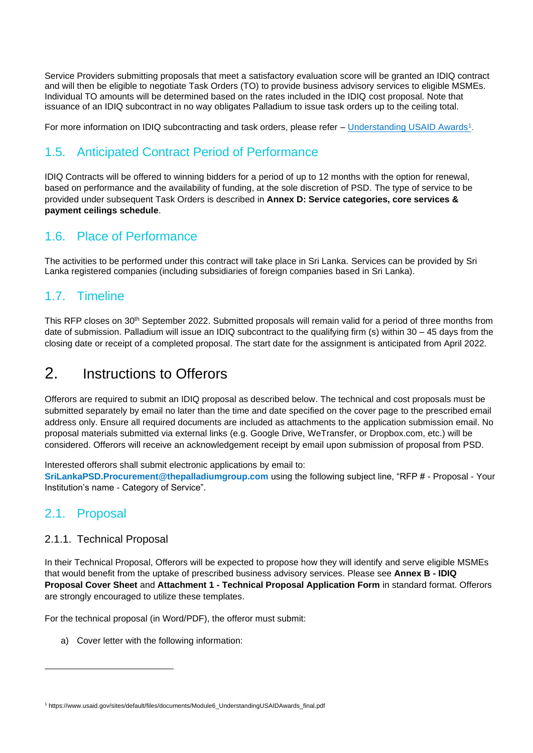Service Providers submitting proposals that meet a satisfactory evaluation score will be granted an IDIQ contract and will then be eligible to negotiate Task Orders (TO) to provide business advisory services to eligible MSMEs. Individual TO amounts will be determined based on the rates included in the IDIQ cost proposal. Note that issuance of an IDIQ subcontract in no way obligates Palladium to issue task orders up to the ceiling total.

For more information on IDIQ subcontracting and task orders, please refer – <u>[Understanding USAID Awards](https://www.usaid.gov/sites/default/files/documents/Module6_UnderstandingUSAIDAwards_final.pdf)1</u>.

# 1.5. Anticipated Contract Period of Performance

IDIQ Contracts will be offered to winning bidders for a period of up to 12 months with the option for renewal, based on performance and the availability of funding, at the sole discretion of PSD. The type of service to be provided under subsequent Task Orders is described in **Annex D: Service categories, core services & payment ceilings schedule**.

## 1.6. Place of Performance

The activities to be performed under this contract will take place in Sri Lanka. Services can be provided by Sri Lanka registered companies (including subsidiaries of foreign companies based in Sri Lanka).

# 1.7. Timeline

This RFP closes on 30<sup>th</sup> September 2022. Submitted proposals will remain valid for a period of three months from date of submission. Palladium will issue an IDIQ subcontract to the qualifying firm (s) within 30 – 45 days from the closing date or receipt of a completed proposal. The start date for the assignment is anticipated from April 2022.

# 2. Instructions to Offerors

Offerors are required to submit an IDIQ proposal as described below. The technical and cost proposals must be submitted separately by email no later than the time and date specified on the cover page to the prescribed email address only. Ensure all required documents are included as attachments to the application submission email. No proposal materials submitted via external links (e.g. Google Drive, WeTransfer, or Dropbox.com, etc.) will be considered. Offerors will receive an acknowledgement receipt by email upon submission of proposal from PSD.

Interested offerors shall submit electronic applications by email to:

**SriLankaPSD.Procurement@thepalladiumgroup.com** using the following subject line, "RFP # - Proposal - Your Institution's name - Category of Service".

# 2.1. Proposal

## 2.1.1. Technical Proposal

In their Technical Proposal, Offerors will be expected to propose how they will identify and serve eligible MSMEs that would benefit from the uptake of prescribed business advisory services. Please see **Annex B - IDIQ Proposal Cover Sheet** and **Attachment 1 - Technical Proposal Application Form** in standard format. Offerors are strongly encouraged to utilize these templates.

For the technical proposal (in Word/PDF), the offeror must submit:

a) Cover letter with the following information:

<sup>1</sup> https://www.usaid.gov/sites/default/files/documents/Module6\_UnderstandingUSAIDAwards\_final.pdf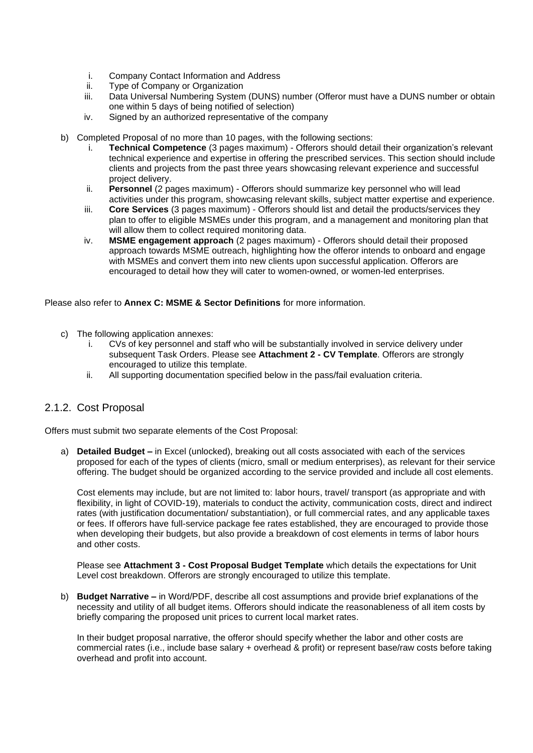- i. Company Contact Information and Address<br>ii. Type of Company or Organization
- Type of Company or Organization
- iii. Data Universal Numbering System (DUNS) number (Offeror must have a DUNS number or obtain one within 5 days of being notified of selection)
- iv. Signed by an authorized representative of the company
- b) Completed Proposal of no more than 10 pages, with the following sections:
	- i. **Technical Competence** (3 pages maximum) Offerors should detail their organization's relevant technical experience and expertise in offering the prescribed services. This section should include clients and projects from the past three years showcasing relevant experience and successful project delivery.
	- ii. **Personnel** (2 pages maximum) Offerors should summarize key personnel who will lead activities under this program, showcasing relevant skills, subject matter expertise and experience.
	- iii. **Core Services** (3 pages maximum) Offerors should list and detail the products/services they plan to offer to eligible MSMEs under this program, and a management and monitoring plan that will allow them to collect required monitoring data.
	- iv. **MSME engagement approach** (2 pages maximum) Offerors should detail their proposed approach towards MSME outreach, highlighting how the offeror intends to onboard and engage with MSMEs and convert them into new clients upon successful application. Offerors are encouraged to detail how they will cater to women-owned, or women-led enterprises.

Please also refer to **Annex C: MSME & Sector Definitions** for more information.

- c) The following application annexes:
	- i. CVs of key personnel and staff who will be substantially involved in service delivery under subsequent Task Orders. Please see **Attachment 2 - CV Template**. Offerors are strongly encouraged to utilize this template.
	- ii. All supporting documentation specified below in the pass/fail evaluation criteria.

## 2.1.2. Cost Proposal

Offers must submit two separate elements of the Cost Proposal:

a) **Detailed Budget –** in Excel (unlocked), breaking out all costs associated with each of the services proposed for each of the types of clients (micro, small or medium enterprises), as relevant for their service offering. The budget should be organized according to the service provided and include all cost elements.

Cost elements may include, but are not limited to: labor hours, travel/ transport (as appropriate and with flexibility, in light of COVID-19), materials to conduct the activity, communication costs, direct and indirect rates (with justification documentation/ substantiation), or full commercial rates, and any applicable taxes or fees. If offerors have full-service package fee rates established, they are encouraged to provide those when developing their budgets, but also provide a breakdown of cost elements in terms of labor hours and other costs.

Please see **Attachment 3 - Cost Proposal Budget Template** which details the expectations for Unit Level cost breakdown. Offerors are strongly encouraged to utilize this template.

b) **Budget Narrative –** in Word/PDF, describe all cost assumptions and provide brief explanations of the necessity and utility of all budget items. Offerors should indicate the reasonableness of all item costs by briefly comparing the proposed unit prices to current local market rates.

In their budget proposal narrative, the offeror should specify whether the labor and other costs are commercial rates (i.e., include base salary + overhead & profit) or represent base/raw costs before taking overhead and profit into account.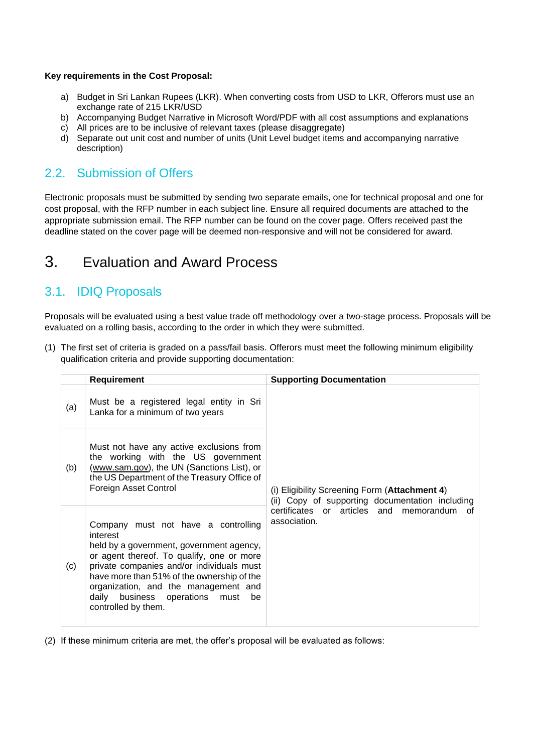### **Key requirements in the Cost Proposal:**

- a) Budget in Sri Lankan Rupees (LKR). When converting costs from USD to LKR, Offerors must use an exchange rate of 215 LKR/USD
- b) Accompanying Budget Narrative in Microsoft Word/PDF with all cost assumptions and explanations
- c) All prices are to be inclusive of relevant taxes (please disaggregate)
- d) Separate out unit cost and number of units (Unit Level budget items and accompanying narrative description)

## 2.2. Submission of Offers

Electronic proposals must be submitted by sending two separate emails, one for technical proposal and one for cost proposal, with the RFP number in each subject line. Ensure all required documents are attached to the appropriate submission email. The RFP number can be found on the cover page. Offers received past the deadline stated on the cover page will be deemed non-responsive and will not be considered for award.

# 3. Evaluation and Award Process

## 3.1. IDIQ Proposals

Proposals will be evaluated using a best value trade off methodology over a two-stage process. Proposals will be evaluated on a rolling basis, according to the order in which they were submitted.

(1) The first set of criteria is graded on a pass/fail basis. Offerors must meet the following minimum eligibility qualification criteria and provide supporting documentation:

|     | Requirement                                                                                                                                                                                                                                                                                                                                   | <b>Supporting Documentation</b>                                                                  |
|-----|-----------------------------------------------------------------------------------------------------------------------------------------------------------------------------------------------------------------------------------------------------------------------------------------------------------------------------------------------|--------------------------------------------------------------------------------------------------|
| (a) | Must be a registered legal entity in Sri<br>Lanka for a minimum of two years                                                                                                                                                                                                                                                                  |                                                                                                  |
| (b) | Must not have any active exclusions from<br>the working with the US government<br>(www.sam.gov), the UN (Sanctions List), or<br>the US Department of the Treasury Office of<br>Foreign Asset Control                                                                                                                                          | (i) Eligibility Screening Form (Attachment 4)<br>(ii) Copy of supporting documentation including |
| (c) | Company must not have a controlling<br>interest<br>held by a government, government agency,<br>or agent thereof. To qualify, one or more<br>private companies and/or individuals must<br>have more than 51% of the ownership of the<br>organization, and the management and<br>business operations must<br>daily<br>be<br>controlled by them. | certificates or articles and memorandum of<br>association.                                       |

(2) If these minimum criteria are met, the offer's proposal will be evaluated as follows: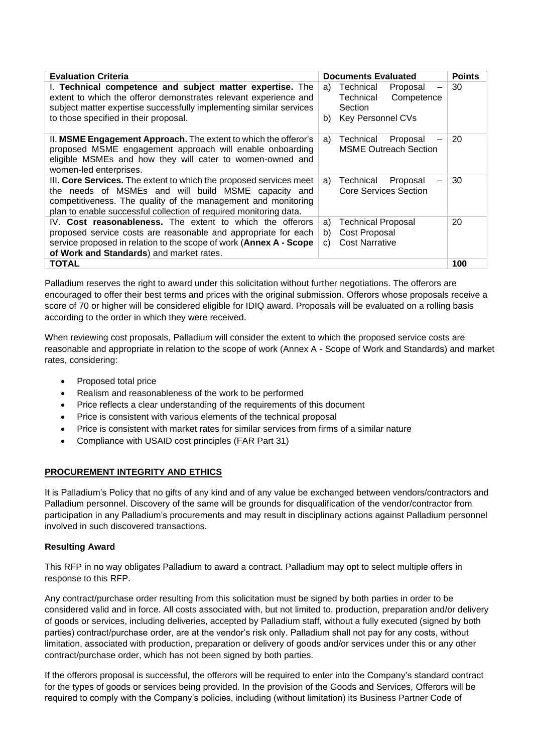| <b>Evaluation Criteria</b>                                                                                                                                                                                                                                      | <b>Documents Evaluated</b>                                                                          | <b>Points</b> |
|-----------------------------------------------------------------------------------------------------------------------------------------------------------------------------------------------------------------------------------------------------------------|-----------------------------------------------------------------------------------------------------|---------------|
| I. Technical competence and subject matter expertise. The<br>extent to which the offeror demonstrates relevant experience and<br>subject matter expertise successfully implementing similar services<br>to those specified in their proposal.                   | Technical<br>Proposal<br>a)<br>Technical<br>Competence<br>Section<br><b>Key Personnel CVs</b><br>b) | 30            |
| II. MSME Engagement Approach. The extent to which the offeror's<br>proposed MSME engagement approach will enable onboarding<br>eligible MSMEs and how they will cater to women-owned and<br>women-led enterprises.                                              | Technical<br>Proposal<br>a)<br><b>MSME Outreach Section</b>                                         | 20            |
| III. Core Services. The extent to which the proposed services meet<br>the needs of MSMEs and will build MSME capacity and<br>competitiveness. The quality of the management and monitoring<br>plan to enable successful collection of required monitoring data. | Proposal<br>Technical<br>a)<br><b>Core Services Section</b>                                         | 30            |
| IV. Cost reasonableness. The extent to which the offerors<br>proposed service costs are reasonable and appropriate for each<br>service proposed in relation to the scope of work (Annex A - Scope<br>of Work and Standards) and market rates.                   | Technical Proposal<br>a)<br>Cost Proposal<br>b)<br><b>Cost Narrative</b><br>C)                      | 20            |
| <b>TOTAL</b>                                                                                                                                                                                                                                                    |                                                                                                     | 100           |

Palladium reserves the right to award under this solicitation without further negotiations. The offerors are encouraged to offer their best terms and prices with the original submission. Offerors whose proposals receive a score of 70 or higher will be considered eligible for IDIQ award. Proposals will be evaluated on a rolling basis according to the order in which they were received.

When reviewing cost proposals, Palladium will consider the extent to which the proposed service costs are reasonable and appropriate in relation to the scope of work (Annex A - Scope of Work and Standards) and market rates, considering:

- Proposed total price
- Realism and reasonableness of the work to be performed
- Price reflects a clear understanding of the requirements of this document
- Price is consistent with various elements of the technical proposal
- Price is consistent with market rates for similar services from firms of a similar nature
- Compliance with USAID cost principles [\(FAR Part 31\)](https://www.acquisition.gov/far/part-31)

## **PROCUREMENT INTEGRITY AND ETHICS**

It is Palladium's Policy that no gifts of any kind and of any value be exchanged between vendors/contractors and Palladium personnel. Discovery of the same will be grounds for disqualification of the vendor/contractor from participation in any Palladium's procurements and may result in disciplinary actions against Palladium personnel involved in such discovered transactions.

### **Resulting Award**

This RFP in no way obligates Palladium to award a contract. Palladium may opt to select multiple offers in response to this RFP.

Any contract/purchase order resulting from this solicitation must be signed by both parties in order to be considered valid and in force. All costs associated with, but not limited to, production, preparation and/or delivery of goods or services, including deliveries, accepted by Palladium staff, without a fully executed (signed by both parties) contract/purchase order, are at the vendor's risk only. Palladium shall not pay for any costs, without limitation, associated with production, preparation or delivery of goods and/or services under this or any other contract/purchase order, which has not been signed by both parties.

If the offerors proposal is successful, the offerors will be required to enter into the Company's standard contract for the types of goods or services being provided. In the provision of the Goods and Services, Offerors will be required to comply with the Company's policies, including (without limitation) its Business Partner Code of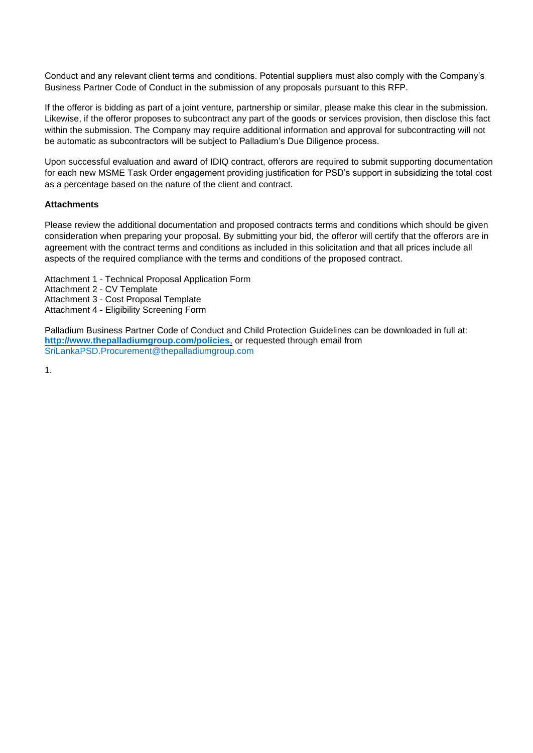Conduct and any relevant client terms and conditions. Potential suppliers must also comply with the Company's Business Partner Code of Conduct in the submission of any proposals pursuant to this RFP.

If the offeror is bidding as part of a joint venture, partnership or similar, please make this clear in the submission. Likewise, if the offeror proposes to subcontract any part of the goods or services provision, then disclose this fact within the submission. The Company may require additional information and approval for subcontracting will not be automatic as subcontractors will be subject to Palladium's Due Diligence process.

Upon successful evaluation and award of IDIQ contract, offerors are required to submit supporting documentation for each new MSME Task Order engagement providing justification for PSD's support in subsidizing the total cost as a percentage based on the nature of the client and contract.

### **Attachments**

Please review the additional documentation and proposed contracts terms and conditions which should be given consideration when preparing your proposal. By submitting your bid, the offeror will certify that the offerors are in agreement with the contract terms and conditions as included in this solicitation and that all prices include all aspects of the required compliance with the terms and conditions of the proposed contract.

Attachment 1 - Technical Proposal Application Form Attachment 2 - CV Template Attachment 3 - Cost Proposal Template Attachment 4 - Eligibility Screening Form

Palladium Business Partner Code of Conduct and Child Protection Guidelines can be downloaded in full at: **<http://www.thepalladiumgroup.com/policies>**, or requested through email from SriLankaPSD.Procurement@thepalladiumgroup.com

1.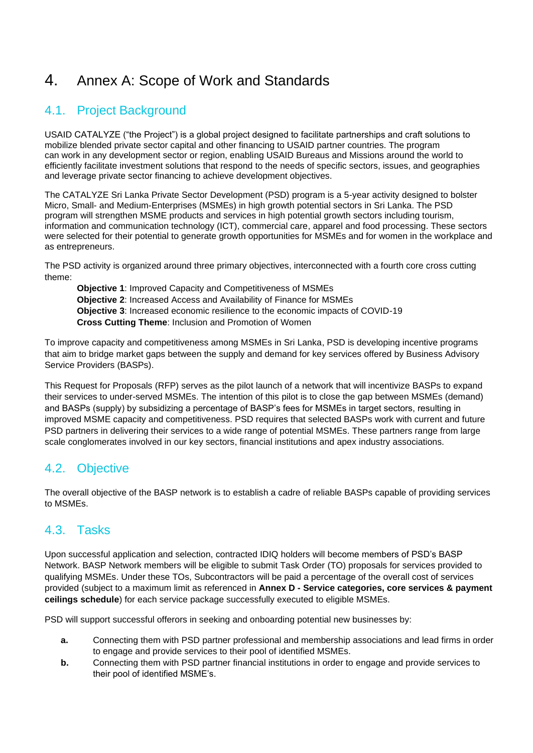# 4. Annex A: Scope of Work and Standards

# 4.1. Project Background

USAID CATALYZE ("the Project") is a global project designed to facilitate partnerships and craft solutions to mobilize blended private sector capital and other financing to USAID partner countries. The program can work in any development sector or region, enabling USAID Bureaus and Missions around the world to efficiently facilitate investment solutions that respond to the needs of specific sectors, issues, and geographies and leverage private sector financing to achieve development objectives.

The CATALYZE Sri Lanka Private Sector Development (PSD) program is a 5-year activity designed to bolster Micro, Small- and Medium-Enterprises (MSMEs) in high growth potential sectors in Sri Lanka. The PSD program will strengthen MSME products and services in high potential growth sectors including tourism, information and communication technology (ICT), commercial care, apparel and food processing. These sectors were selected for their potential to generate growth opportunities for MSMEs and for women in the workplace and as entrepreneurs.

The PSD activity is organized around three primary objectives, interconnected with a fourth core cross cutting theme:

**Objective 1**: Improved Capacity and Competitiveness of MSMEs **Objective 2**: Increased Access and Availability of Finance for MSMEs **Objective 3**: Increased economic resilience to the economic impacts of COVID-19 **Cross Cutting Theme**: Inclusion and Promotion of Women

To improve capacity and competitiveness among MSMEs in Sri Lanka, PSD is developing incentive programs that aim to bridge market gaps between the supply and demand for key services offered by Business Advisory Service Providers (BASPs).

This Request for Proposals (RFP) serves as the pilot launch of a network that will incentivize BASPs to expand their services to under-served MSMEs. The intention of this pilot is to close the gap between MSMEs (demand) and BASPs (supply) by subsidizing a percentage of BASP's fees for MSMEs in target sectors, resulting in improved MSME capacity and competitiveness. PSD requires that selected BASPs work with current and future PSD partners in delivering their services to a wide range of potential MSMEs. These partners range from large scale conglomerates involved in our key sectors, financial institutions and apex industry associations.

# 4.2. Objective

The overall objective of the BASP network is to establish a cadre of reliable BASPs capable of providing services to MSMEs.

# 4.3. Tasks

Upon successful application and selection, contracted IDIQ holders will become members of PSD's BASP Network. BASP Network members will be eligible to submit Task Order (TO) proposals for services provided to qualifying MSMEs. Under these TOs, Subcontractors will be paid a percentage of the overall cost of services provided (subject to a maximum limit as referenced in **Annex D - Service categories, core services & payment ceilings schedule**) for each service package successfully executed to eligible MSMEs.

PSD will support successful offerors in seeking and onboarding potential new businesses by:

- **a.** Connecting them with PSD partner professional and membership associations and lead firms in order to engage and provide services to their pool of identified MSMEs.
- **b.** Connecting them with PSD partner financial institutions in order to engage and provide services to their pool of identified MSME's.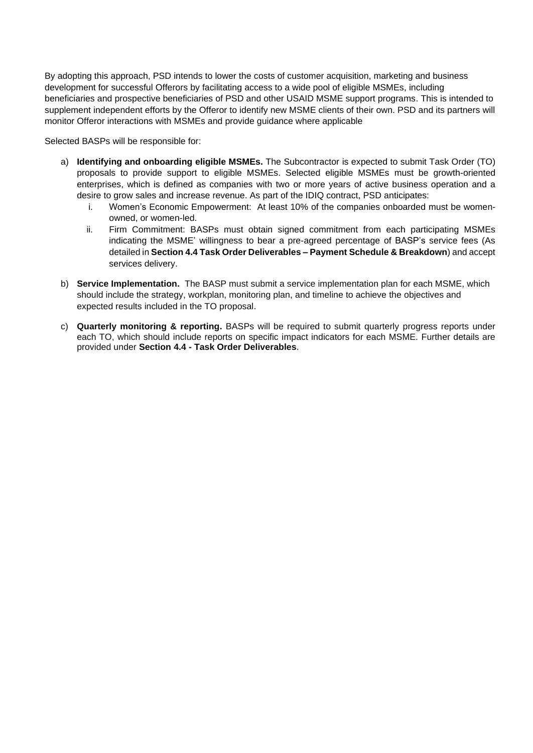By adopting this approach, PSD intends to lower the costs of customer acquisition, marketing and business development for successful Offerors by facilitating access to a wide pool of eligible MSMEs, including beneficiaries and prospective beneficiaries of PSD and other USAID MSME support programs. This is intended to supplement independent efforts by the Offeror to identify new MSME clients of their own. PSD and its partners will monitor Offeror interactions with MSMEs and provide guidance where applicable

Selected BASPs will be responsible for:

- a) **Identifying and onboarding eligible MSMEs.** The Subcontractor is expected to submit Task Order (TO) proposals to provide support to eligible MSMEs. Selected eligible MSMEs must be growth-oriented enterprises, which is defined as companies with two or more years of active business operation and a desire to grow sales and increase revenue. As part of the IDIQ contract, PSD anticipates:
	- i. Women's Economic Empowerment: At least 10% of the companies onboarded must be womenowned, or women-led.
	- ii. Firm Commitment: BASPs must obtain signed commitment from each participating MSMEs indicating the MSME' willingness to bear a pre-agreed percentage of BASP's service fees (As detailed in **Section 4.4 Task Order Deliverables – Payment Schedule & Breakdown**) and accept services delivery.
- b) **Service Implementation.** The BASP must submit a service implementation plan for each MSME, which should include the strategy, workplan, monitoring plan, and timeline to achieve the objectives and expected results included in the TO proposal.
- c) **Quarterly monitoring & reporting.** BASPs will be required to submit quarterly progress reports under each TO, which should include reports on specific impact indicators for each MSME. Further details are provided under **Section 4.4 - Task Order Deliverables**.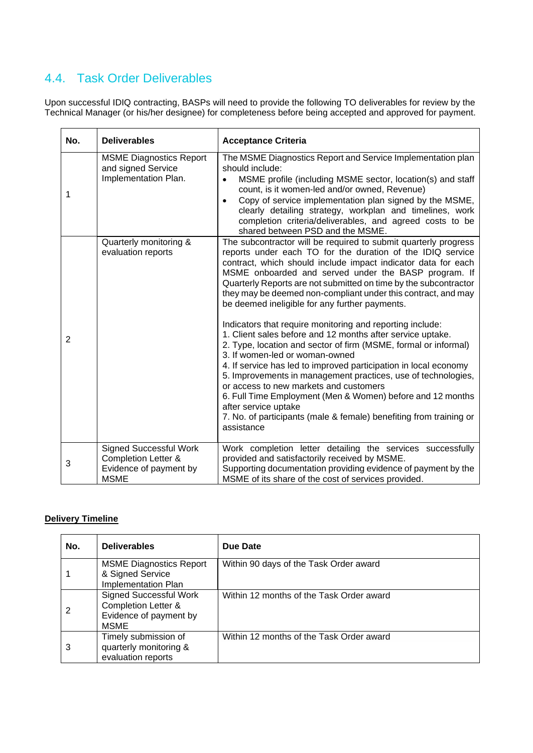# 4.4. Task Order Deliverables

Upon successful IDIQ contracting, BASPs will need to provide the following TO deliverables for review by the Technical Manager (or his/her designee) for completeness before being accepted and approved for payment.

| No.            | <b>Deliverables</b>                                                                                      | <b>Acceptance Criteria</b>                                                                                                                                                                                                                                                                                                                                                                                                                                                                                                                                                                                                                                                                                                                                                                                                                                   |
|----------------|----------------------------------------------------------------------------------------------------------|--------------------------------------------------------------------------------------------------------------------------------------------------------------------------------------------------------------------------------------------------------------------------------------------------------------------------------------------------------------------------------------------------------------------------------------------------------------------------------------------------------------------------------------------------------------------------------------------------------------------------------------------------------------------------------------------------------------------------------------------------------------------------------------------------------------------------------------------------------------|
| 1              | <b>MSME Diagnostics Report</b><br>and signed Service<br>Implementation Plan.                             | The MSME Diagnostics Report and Service Implementation plan<br>should include:<br>MSME profile (including MSME sector, location(s) and staff<br>$\bullet$<br>count, is it women-led and/or owned, Revenue)<br>Copy of service implementation plan signed by the MSME,<br>$\bullet$<br>clearly detailing strategy, workplan and timelines, work<br>completion criteria/deliverables, and agreed costs to be<br>shared between PSD and the MSME.                                                                                                                                                                                                                                                                                                                                                                                                               |
| $\overline{2}$ | Quarterly monitoring &<br>evaluation reports                                                             | The subcontractor will be required to submit quarterly progress<br>reports under each TO for the duration of the IDIQ service<br>contract, which should include impact indicator data for each<br>MSME onboarded and served under the BASP program. If<br>Quarterly Reports are not submitted on time by the subcontractor<br>they may be deemed non-compliant under this contract, and may<br>be deemed ineligible for any further payments.<br>Indicators that require monitoring and reporting include:<br>1. Client sales before and 12 months after service uptake.<br>2. Type, location and sector of firm (MSME, formal or informal)<br>3. If women-led or woman-owned<br>4. If service has led to improved participation in local economy<br>5. Improvements in management practices, use of technologies,<br>or access to new markets and customers |
|                |                                                                                                          | 6. Full Time Employment (Men & Women) before and 12 months<br>after service uptake<br>7. No. of participants (male & female) benefiting from training or<br>assistance                                                                                                                                                                                                                                                                                                                                                                                                                                                                                                                                                                                                                                                                                       |
| 3              | <b>Signed Successful Work</b><br><b>Completion Letter &amp;</b><br>Evidence of payment by<br><b>MSME</b> | Work completion letter detailing the services successfully<br>provided and satisfactorily received by MSME.<br>Supporting documentation providing evidence of payment by the<br>MSME of its share of the cost of services provided.                                                                                                                                                                                                                                                                                                                                                                                                                                                                                                                                                                                                                          |

## **Delivery Timeline**

| No. | <b>Deliverables</b>                                                                                      | Due Date                                 |
|-----|----------------------------------------------------------------------------------------------------------|------------------------------------------|
|     | <b>MSME Diagnostics Report</b><br>& Signed Service<br>Implementation Plan                                | Within 90 days of the Task Order award   |
| 2   | <b>Signed Successful Work</b><br><b>Completion Letter &amp;</b><br>Evidence of payment by<br><b>MSME</b> | Within 12 months of the Task Order award |
| 3   | Timely submission of<br>quarterly monitoring &<br>evaluation reports                                     | Within 12 months of the Task Order award |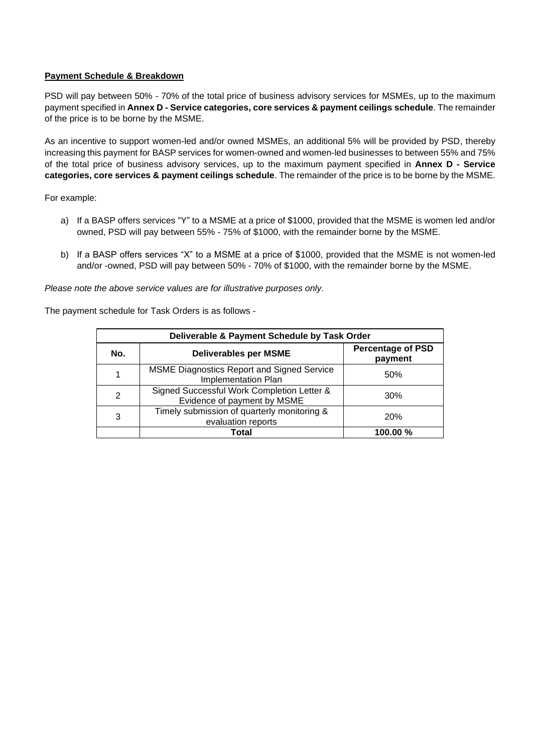## **Payment Schedule & Breakdown**

PSD will pay between 50% - 70% of the total price of business advisory services for MSMEs, up to the maximum payment specified in **Annex D - Service categories, core services & payment ceilings schedule**. The remainder of the price is to be borne by the MSME.

As an incentive to support women-led and/or owned MSMEs, an additional 5% will be provided by PSD, thereby increasing this payment for BASP services for women-owned and women-led businesses to between 55% and 75% of the total price of business advisory services, up to the maximum payment specified in **Annex D - Service categories, core services & payment ceilings schedule**. The remainder of the price is to be borne by the MSME.

For example:

- a) If a BASP offers services "Y" to a MSME at a price of \$1000, provided that the MSME is women led and/or owned, PSD will pay between 55% - 75% of \$1000, with the remainder borne by the MSME.
- b) If a BASP offers services "X" to a MSME at a price of \$1000, provided that the MSME is not women-led and/or -owned, PSD will pay between 50% - 70% of \$1000, with the remainder borne by the MSME.

*Please note the above service values are for illustrative purposes only.* 

The payment schedule for Task Orders is as follows -

| Deliverable & Payment Schedule by Task Order |                                                                           |                                     |  |  |  |
|----------------------------------------------|---------------------------------------------------------------------------|-------------------------------------|--|--|--|
| No.                                          | <b>Deliverables per MSME</b>                                              | <b>Percentage of PSD</b><br>payment |  |  |  |
| 1                                            | <b>MSME Diagnostics Report and Signed Service</b><br>Implementation Plan  | 50%                                 |  |  |  |
| 2                                            | Signed Successful Work Completion Letter &<br>Evidence of payment by MSME | 30%                                 |  |  |  |
| 3                                            | Timely submission of quarterly monitoring &<br>evaluation reports         | <b>20%</b>                          |  |  |  |
|                                              | Total                                                                     | 100.00 %                            |  |  |  |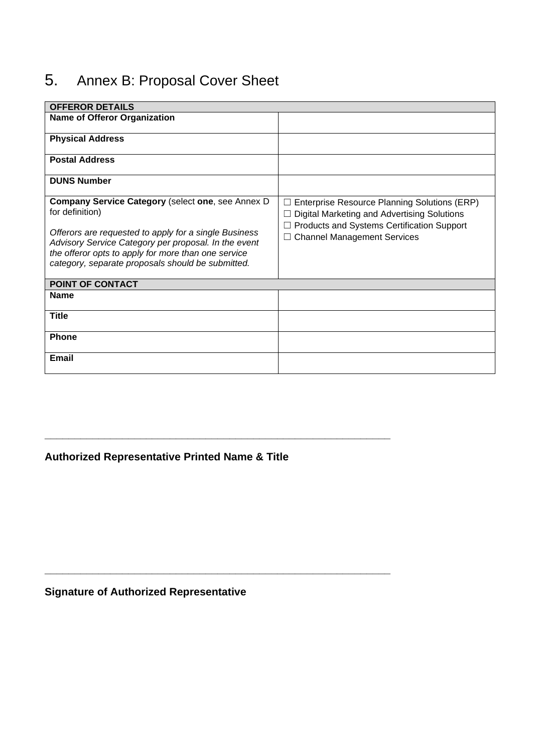# 5. Annex B: Proposal Cover Sheet

| <b>OFFEROR DETAILS</b>                                                                                                                                                                                                    |                                                                                             |
|---------------------------------------------------------------------------------------------------------------------------------------------------------------------------------------------------------------------------|---------------------------------------------------------------------------------------------|
| <b>Name of Offeror Organization</b>                                                                                                                                                                                       |                                                                                             |
| <b>Physical Address</b>                                                                                                                                                                                                   |                                                                                             |
| <b>Postal Address</b>                                                                                                                                                                                                     |                                                                                             |
| <b>DUNS Number</b>                                                                                                                                                                                                        |                                                                                             |
| <b>Company Service Category (select one, see Annex D)</b><br>for definition)                                                                                                                                              | Enterprise Resource Planning Solutions (ERP)<br>Digital Marketing and Advertising Solutions |
| Offerors are requested to apply for a single Business<br>Advisory Service Category per proposal. In the event<br>the offeror opts to apply for more than one service<br>category, separate proposals should be submitted. | Products and Systems Certification Support<br><b>Channel Management Services</b>            |
| POINT OF CONTACT                                                                                                                                                                                                          |                                                                                             |
| <b>Name</b>                                                                                                                                                                                                               |                                                                                             |
| <b>Title</b>                                                                                                                                                                                                              |                                                                                             |
| <b>Phone</b>                                                                                                                                                                                                              |                                                                                             |
| <b>Email</b>                                                                                                                                                                                                              |                                                                                             |

# **Authorized Representative Printed Name & Title**

**\_\_\_\_\_\_\_\_\_\_\_\_\_\_\_\_\_\_\_\_\_\_\_\_\_\_\_\_\_\_\_\_\_\_\_\_\_\_\_\_\_\_\_\_\_\_\_\_\_\_\_\_\_\_\_\_\_\_**

**\_\_\_\_\_\_\_\_\_\_\_\_\_\_\_\_\_\_\_\_\_\_\_\_\_\_\_\_\_\_\_\_\_\_\_\_\_\_\_\_\_\_\_\_\_\_\_\_\_\_\_\_\_\_\_\_\_\_**

**Signature of Authorized Representative**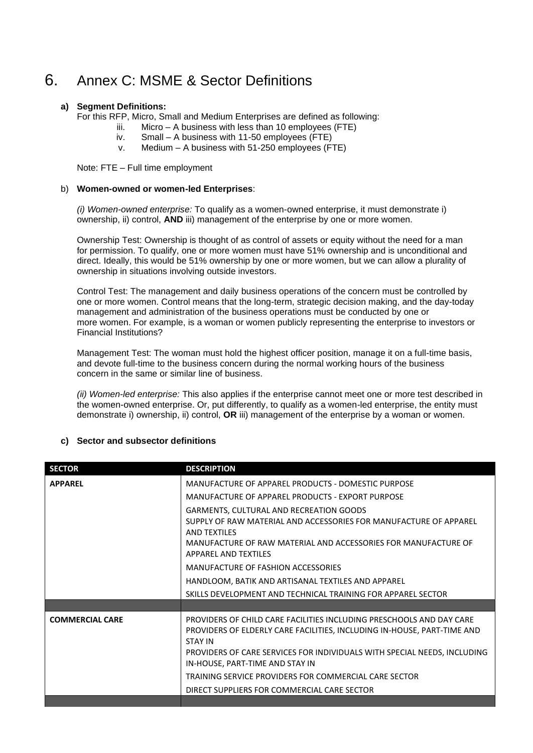# 6. Annex C: MSME & Sector Definitions

### **a) Segment Definitions:**

For this RFP, Micro, Small and Medium Enterprises are defined as following:

- iii. Micro A business with less than 10 employees (FTE)
- iv. Small A business with 11-50 employees (FTE)
- v. Medium A business with 51-250 employees (FTE)

Note: FTE – Full time employment

### b) **Women-owned or women-led Enterprises**:

*(i) Women-owned enterprise:* To qualify as a women-owned enterprise, it must demonstrate i) ownership, ii) control, **AND** iii) management of the enterprise by one or more women.

Ownership Test: Ownership is thought of as control of assets or equity without the need for a man for permission. To qualify, one or more women must have 51% ownership and is unconditional and direct. Ideally, this would be 51% ownership by one or more women, but we can allow a plurality of ownership in situations involving outside investors.

Control Test: The management and daily business operations of the concern must be controlled by one or more women. Control means that the long-term, strategic decision making, and the day-today management and administration of the business operations must be conducted by one or more women. For example, is a woman or women publicly representing the enterprise to investors or Financial Institutions?

Management Test: The woman must hold the highest officer position, manage it on a full-time basis, and devote full-time to the business concern during the normal working hours of the business concern in the same or similar line of business.

*(ii) Women-led enterprise:* This also applies if the enterprise cannot meet one or more test described in the women-owned enterprise. Or, put differently, to qualify as a women-led enterprise, the entity must demonstrate i) ownership, ii) control, **OR** iii) management of the enterprise by a woman or women.

### **c) Sector and subsector definitions**

| <b>SECTOR</b>          | <b>DESCRIPTION</b>                                                                                                                                                |  |  |  |  |  |
|------------------------|-------------------------------------------------------------------------------------------------------------------------------------------------------------------|--|--|--|--|--|
| <b>APPAREL</b>         | MANUFACTURE OF APPAREL PRODUCTS - DOMESTIC PURPOSE                                                                                                                |  |  |  |  |  |
|                        | MANUFACTURE OF APPAREL PRODUCTS - EXPORT PURPOSE                                                                                                                  |  |  |  |  |  |
|                        | GARMENTS, CULTURAL AND RECREATION GOODS                                                                                                                           |  |  |  |  |  |
|                        | SUPPLY OF RAW MATERIAL AND ACCESSORIES FOR MANUFACTURE OF APPAREL<br>AND TEXTILES                                                                                 |  |  |  |  |  |
|                        | MANUFACTURE OF RAW MATERIAL AND ACCESSORIES FOR MANUFACTURE OF<br><b>APPAREL AND TEXTILES</b>                                                                     |  |  |  |  |  |
|                        | MANUFACTURE OF FASHION ACCESSORIES                                                                                                                                |  |  |  |  |  |
|                        | HANDLOOM, BATIK AND ARTISANAL TEXTILES AND APPAREL                                                                                                                |  |  |  |  |  |
|                        | SKILLS DEVELOPMENT AND TECHNICAL TRAINING FOR APPAREL SECTOR                                                                                                      |  |  |  |  |  |
|                        |                                                                                                                                                                   |  |  |  |  |  |
| <b>COMMERCIAL CARE</b> | PROVIDERS OF CHILD CARE FACILITIES INCLUDING PRESCHOOLS AND DAY CARE<br>PROVIDERS OF ELDERLY CARE FACILITIES, INCLUDING IN-HOUSE, PART-TIME AND<br><b>STAY IN</b> |  |  |  |  |  |
|                        | PROVIDERS OF CARE SERVICES FOR INDIVIDUALS WITH SPECIAL NEEDS, INCLUDING<br>IN-HOUSE, PART-TIME AND STAY IN                                                       |  |  |  |  |  |
|                        | TRAINING SERVICE PROVIDERS FOR COMMERCIAL CARE SECTOR                                                                                                             |  |  |  |  |  |
|                        | DIRECT SUPPLIERS FOR COMMERCIAL CARE SECTOR                                                                                                                       |  |  |  |  |  |
|                        |                                                                                                                                                                   |  |  |  |  |  |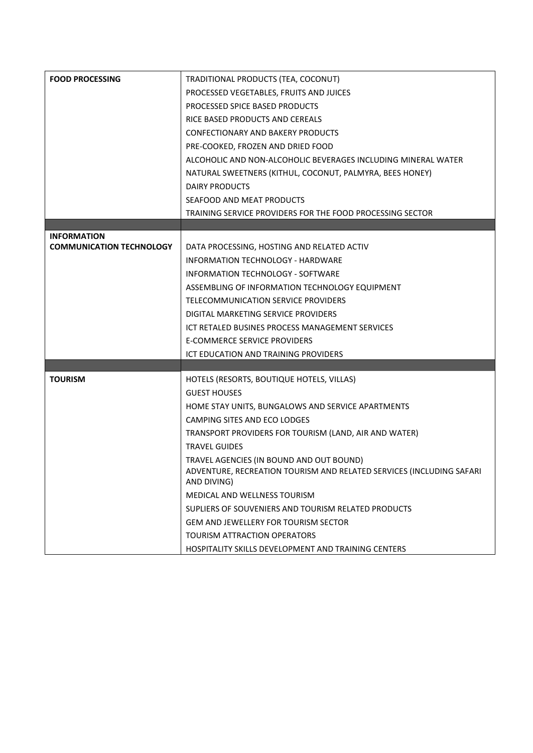| <b>FOOD PROCESSING</b>          | TRADITIONAL PRODUCTS (TEA, COCONUT)                                                 |  |  |  |  |
|---------------------------------|-------------------------------------------------------------------------------------|--|--|--|--|
|                                 | PROCESSED VEGETABLES, FRUITS AND JUICES                                             |  |  |  |  |
|                                 | PROCESSED SPICE BASED PRODUCTS                                                      |  |  |  |  |
|                                 | RICE BASED PRODUCTS AND CEREALS                                                     |  |  |  |  |
|                                 | CONFECTIONARY AND BAKERY PRODUCTS                                                   |  |  |  |  |
|                                 | PRE-COOKED, FROZEN AND DRIED FOOD                                                   |  |  |  |  |
|                                 | ALCOHOLIC AND NON-ALCOHOLIC BEVERAGES INCLUDING MINERAL WATER                       |  |  |  |  |
|                                 | NATURAL SWEETNERS (KITHUL, COCONUT, PALMYRA, BEES HONEY)                            |  |  |  |  |
|                                 | DAIRY PRODUCTS                                                                      |  |  |  |  |
|                                 | SEAFOOD AND MEAT PRODUCTS                                                           |  |  |  |  |
|                                 | TRAINING SERVICE PROVIDERS FOR THE FOOD PROCESSING SECTOR                           |  |  |  |  |
|                                 |                                                                                     |  |  |  |  |
| <b>INFORMATION</b>              |                                                                                     |  |  |  |  |
| <b>COMMUNICATION TECHNOLOGY</b> | DATA PROCESSING, HOSTING AND RELATED ACTIV                                          |  |  |  |  |
|                                 | INFORMATION TECHNOLOGY - HARDWARE                                                   |  |  |  |  |
|                                 | INFORMATION TECHNOLOGY - SOFTWARE                                                   |  |  |  |  |
|                                 | ASSEMBLING OF INFORMATION TECHNOLOGY EQUIPMENT                                      |  |  |  |  |
|                                 | TELECOMMUNICATION SERVICE PROVIDERS                                                 |  |  |  |  |
|                                 | DIGITAL MARKETING SERVICE PROVIDERS                                                 |  |  |  |  |
|                                 | ICT RETALED BUSINES PROCESS MANAGEMENT SERVICES                                     |  |  |  |  |
|                                 | <b>E-COMMERCE SERVICE PROVIDERS</b>                                                 |  |  |  |  |
|                                 | ICT EDUCATION AND TRAINING PROVIDERS                                                |  |  |  |  |
|                                 |                                                                                     |  |  |  |  |
| <b>TOURISM</b>                  | HOTELS (RESORTS, BOUTIQUE HOTELS, VILLAS)                                           |  |  |  |  |
|                                 | <b>GUEST HOUSES</b>                                                                 |  |  |  |  |
|                                 | HOME STAY UNITS, BUNGALOWS AND SERVICE APARTMENTS                                   |  |  |  |  |
|                                 | CAMPING SITES AND ECO LODGES                                                        |  |  |  |  |
|                                 | TRANSPORT PROVIDERS FOR TOURISM (LAND, AIR AND WATER)                               |  |  |  |  |
|                                 | <b>TRAVEL GUIDES</b>                                                                |  |  |  |  |
|                                 | TRAVEL AGENCIES (IN BOUND AND OUT BOUND)                                            |  |  |  |  |
|                                 | ADVENTURE, RECREATION TOURISM AND RELATED SERVICES (INCLUDING SAFARI<br>AND DIVING) |  |  |  |  |
|                                 | MEDICAL AND WELLNESS TOURISM                                                        |  |  |  |  |
|                                 | SUPLIERS OF SOUVENIERS AND TOURISM RELATED PRODUCTS                                 |  |  |  |  |
|                                 | <b>GEM AND JEWELLERY FOR TOURISM SECTOR</b>                                         |  |  |  |  |
|                                 | <b>TOURISM ATTRACTION OPERATORS</b>                                                 |  |  |  |  |
|                                 | HOSPITALITY SKILLS DEVELOPMENT AND TRAINING CENTERS                                 |  |  |  |  |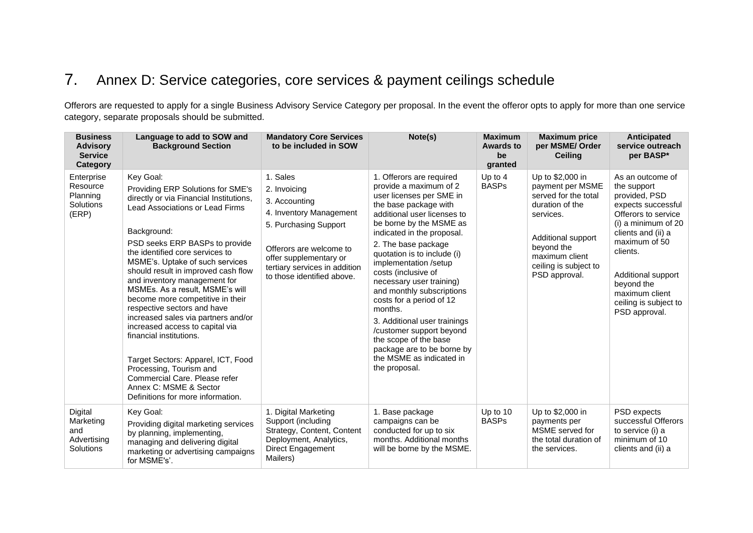# 7. Annex D: Service categories, core services & payment ceilings schedule

Offerors are requested to apply for a single Business Advisory Service Category per proposal. In the event the offeror opts to apply for more than one service category, separate proposals should be submitted.

| <b>Business</b><br><b>Advisory</b><br><b>Service</b><br>Category | Language to add to SOW and<br><b>Background Section</b>                                                                                                                                                                                                                                                                                                                                                                                                                                                                                                                                                                                                                                                | <b>Mandatory Core Services</b><br>to be included in SOW                                                                                                                                                           | Note(s)                                                                                                                                                                                                                                                                                                                                                                                                                                                                                                                                                               | <b>Maximum</b><br><b>Awards to</b><br>be<br>granted | <b>Maximum price</b><br>per MSME/ Order<br><b>Ceiling</b>                                                                                                                                    | Anticipated<br>service outreach<br>per BASP*                                                                                                                                                                                                                            |
|------------------------------------------------------------------|--------------------------------------------------------------------------------------------------------------------------------------------------------------------------------------------------------------------------------------------------------------------------------------------------------------------------------------------------------------------------------------------------------------------------------------------------------------------------------------------------------------------------------------------------------------------------------------------------------------------------------------------------------------------------------------------------------|-------------------------------------------------------------------------------------------------------------------------------------------------------------------------------------------------------------------|-----------------------------------------------------------------------------------------------------------------------------------------------------------------------------------------------------------------------------------------------------------------------------------------------------------------------------------------------------------------------------------------------------------------------------------------------------------------------------------------------------------------------------------------------------------------------|-----------------------------------------------------|----------------------------------------------------------------------------------------------------------------------------------------------------------------------------------------------|-------------------------------------------------------------------------------------------------------------------------------------------------------------------------------------------------------------------------------------------------------------------------|
| Enterprise<br>Resource<br>Planning<br><b>Solutions</b><br>(ERP)  | Key Goal:<br>Providing ERP Solutions for SME's<br>directly or via Financial Institutions,<br>Lead Associations or Lead Firms<br>Background:<br>PSD seeks ERP BASPs to provide<br>the identified core services to<br>MSME's. Uptake of such services<br>should result in improved cash flow<br>and inventory management for<br>MSMEs. As a result, MSME's will<br>become more competitive in their<br>respective sectors and have<br>increased sales via partners and/or<br>increased access to capital via<br>financial institutions.<br>Target Sectors: Apparel, ICT, Food<br>Processing, Tourism and<br>Commercial Care, Please refer<br>Annex C: MSME & Sector<br>Definitions for more information. | 1. Sales<br>2. Invoicing<br>3. Accounting<br>4. Inventory Management<br>5. Purchasing Support<br>Offerors are welcome to<br>offer supplementary or<br>tertiary services in addition<br>to those identified above. | 1. Offerors are required<br>provide a maximum of 2<br>user licenses per SME in<br>the base package with<br>additional user licenses to<br>be borne by the MSME as<br>indicated in the proposal.<br>2. The base package<br>quotation is to include (i)<br>implementation /setup<br>costs (inclusive of<br>necessary user training)<br>and monthly subscriptions<br>costs for a period of 12<br>months.<br>3. Additional user trainings<br>/customer support beyond<br>the scope of the base<br>package are to be borne by<br>the MSME as indicated in<br>the proposal. | Up to 4<br><b>BASPs</b>                             | Up to \$2,000 in<br>payment per MSME<br>served for the total<br>duration of the<br>services.<br>Additional support<br>beyond the<br>maximum client<br>ceiling is subject to<br>PSD approval. | As an outcome of<br>the support<br>provided, PSD<br>expects successful<br>Offerors to service<br>(i) a minimum of 20<br>clients and (ii) a<br>maximum of 50<br>clients.<br>Additional support<br>beyond the<br>maximum client<br>ceiling is subject to<br>PSD approval. |
| Digital<br>Marketing<br>and<br>Advertising<br><b>Solutions</b>   | Key Goal:<br>Providing digital marketing services<br>by planning, implementing,<br>managing and delivering digital<br>marketing or advertising campaigns<br>for MSME's'.                                                                                                                                                                                                                                                                                                                                                                                                                                                                                                                               | 1. Digital Marketing<br>Support (including<br>Strategy, Content, Content<br>Deployment, Analytics,<br>Direct Engagement<br>Mailers)                                                                               | 1. Base package<br>campaigns can be<br>conducted for up to six<br>months. Additional months<br>will be borne by the MSME.                                                                                                                                                                                                                                                                                                                                                                                                                                             | Up to 10<br><b>BASPs</b>                            | Up to \$2,000 in<br>payments per<br>MSME served for<br>the total duration of<br>the services.                                                                                                | PSD expects<br>successful Offerors<br>to service (i) a<br>minimum of 10<br>clients and (ii) a                                                                                                                                                                           |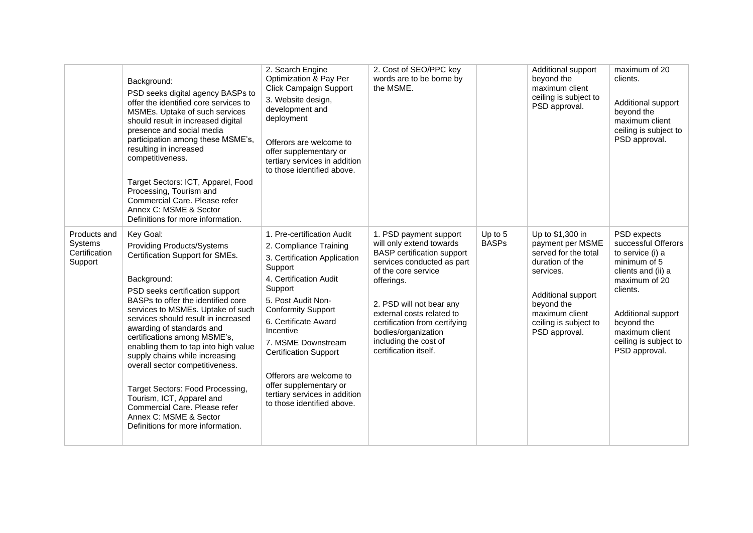|                                                     | Background:<br>PSD seeks digital agency BASPs to<br>offer the identified core services to<br>MSMEs. Uptake of such services<br>should result in increased digital<br>presence and social media<br>participation among these MSME's,<br>resulting in increased<br>competitiveness.<br>Target Sectors: ICT, Apparel, Food<br>Processing, Tourism and<br>Commercial Care. Please refer<br>Annex C: MSME & Sector<br>Definitions for more information.                                                                                                                                               | 2. Search Engine<br>Optimization & Pay Per<br><b>Click Campaign Support</b><br>3. Website design,<br>development and<br>deployment<br>Offerors are welcome to<br>offer supplementary or<br>tertiary services in addition<br>to those identified above.                                                                                                                                                 | 2. Cost of SEO/PPC key<br>words are to be borne by<br>the MSME.                                                                                                                                                                                                                                                               |                           | Additional support<br>beyond the<br>maximum client<br>ceiling is subject to<br>PSD approval.                                                                                                 | maximum of 20<br>clients.<br>Additional support<br>beyond the<br>maximum client<br>ceiling is subject to<br>PSD approval.                                                                                                 |
|-----------------------------------------------------|--------------------------------------------------------------------------------------------------------------------------------------------------------------------------------------------------------------------------------------------------------------------------------------------------------------------------------------------------------------------------------------------------------------------------------------------------------------------------------------------------------------------------------------------------------------------------------------------------|--------------------------------------------------------------------------------------------------------------------------------------------------------------------------------------------------------------------------------------------------------------------------------------------------------------------------------------------------------------------------------------------------------|-------------------------------------------------------------------------------------------------------------------------------------------------------------------------------------------------------------------------------------------------------------------------------------------------------------------------------|---------------------------|----------------------------------------------------------------------------------------------------------------------------------------------------------------------------------------------|---------------------------------------------------------------------------------------------------------------------------------------------------------------------------------------------------------------------------|
| Products and<br>Systems<br>Certification<br>Support | Key Goal:<br><b>Providing Products/Systems</b><br>Certification Support for SMEs.<br>Background:<br>PSD seeks certification support<br>BASPs to offer the identified core<br>services to MSMEs. Uptake of such<br>services should result in increased<br>awarding of standards and<br>certifications among MSME's,<br>enabling them to tap into high value<br>supply chains while increasing<br>overall sector competitiveness.<br>Target Sectors: Food Processing,<br>Tourism, ICT, Apparel and<br>Commercial Care. Please refer<br>Annex C: MSME & Sector<br>Definitions for more information. | 1. Pre-certification Audit<br>2. Compliance Training<br>3. Certification Application<br>Support<br>4. Certification Audit<br>Support<br>5. Post Audit Non-<br><b>Conformity Support</b><br>6. Certificate Award<br>Incentive<br>7. MSME Downstream<br><b>Certification Support</b><br>Offerors are welcome to<br>offer supplementary or<br>tertiary services in addition<br>to those identified above. | 1. PSD payment support<br>will only extend towards<br><b>BASP</b> certification support<br>services conducted as part<br>of the core service<br>offerings.<br>2. PSD will not bear any<br>external costs related to<br>certification from certifying<br>bodies/organization<br>including the cost of<br>certification itself. | Up to $5$<br><b>BASPs</b> | Up to \$1,300 in<br>payment per MSME<br>served for the total<br>duration of the<br>services.<br>Additional support<br>beyond the<br>maximum client<br>ceiling is subject to<br>PSD approval. | PSD expects<br>successful Offerors<br>to service (i) a<br>minimum of 5<br>clients and (ii) a<br>maximum of 20<br>clients.<br>Additional support<br>beyond the<br>maximum client<br>ceiling is subject to<br>PSD approval. |